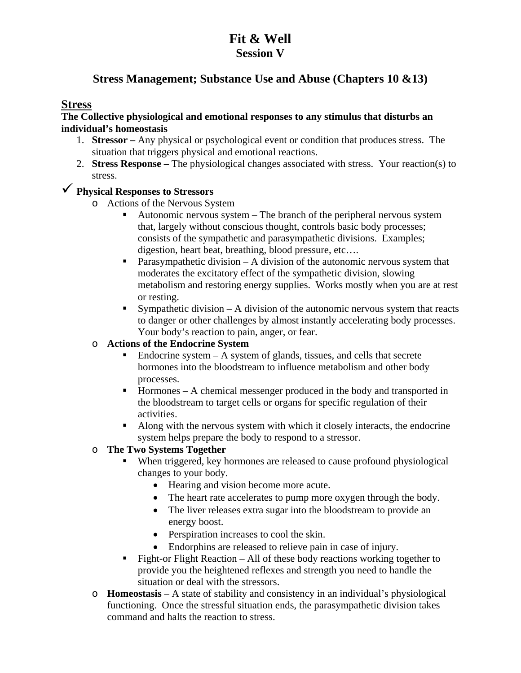## **Fit & Well Session V**

## **Stress Management; Substance Use and Abuse (Chapters 10 &13)**

### **Stress**

#### **The Collective physiological and emotional responses to any stimulus that disturbs an individual's homeostasis**

- 1. **Stressor** Any physical or psychological event or condition that produces stress. The situation that triggers physical and emotional reactions.
- 2. **Stress Response –** The physiological changes associated with stress. Your reaction(s) to stress.

# **Physical Responses to Stressors**

- o Actions of the Nervous System
	- Autonomic nervous system The branch of the peripheral nervous system that, largely without conscious thought, controls basic body processes; consists of the sympathetic and parasympathetic divisions. Examples; digestion, heart beat, breathing, blood pressure, etc….
	- **Parasympathetic division A division of the autonomic nervous system that** moderates the excitatory effect of the sympathetic division, slowing metabolism and restoring energy supplies. Works mostly when you are at rest or resting.
	- Sympathetic division A division of the autonomic nervous system that reacts to danger or other challenges by almost instantly accelerating body processes. Your body's reaction to pain, anger, or fear.

#### o **Actions of the Endocrine System**

- $\blacksquare$  Endocrine system A system of glands, tissues, and cells that secrete hormones into the bloodstream to influence metabolism and other body processes.
- $\blacksquare$  Hormones A chemical messenger produced in the body and transported in the bloodstream to target cells or organs for specific regulation of their activities.
- Along with the nervous system with which it closely interacts, the endocrine system helps prepare the body to respond to a stressor.

### o **The Two Systems Together**

- When triggered, key hormones are released to cause profound physiological changes to your body.
	- Hearing and vision become more acute.
	- The heart rate accelerates to pump more oxygen through the body.
	- The liver releases extra sugar into the bloodstream to provide an energy boost.
	- Perspiration increases to cool the skin.
	- Endorphins are released to relieve pain in case of injury.
- Fight-or Flight Reaction All of these body reactions working together to provide you the heightened reflexes and strength you need to handle the situation or deal with the stressors.
- o **Homeostasis** A state of stability and consistency in an individual's physiological functioning. Once the stressful situation ends, the parasympathetic division takes command and halts the reaction to stress.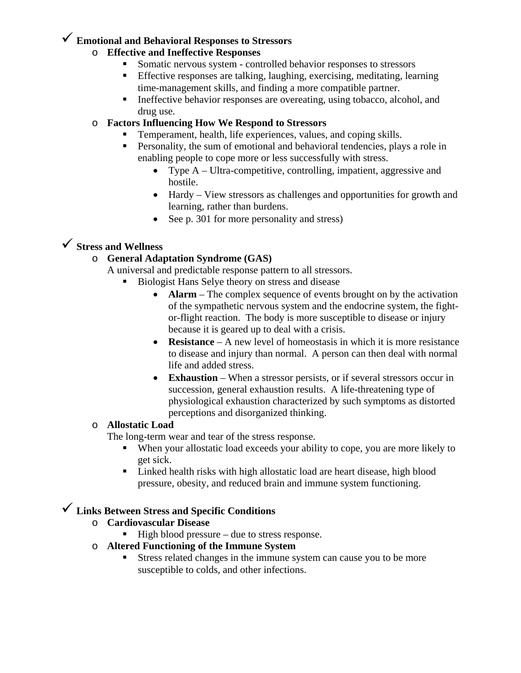# **Emotional and Behavioral Responses to Stressors**

### o **Effective and Ineffective Responses**

- Somatic nervous system controlled behavior responses to stressors
- Effective responses are talking, laughing, exercising, meditating, learning time-management skills, and finding a more compatible partner.
- Ineffective behavior responses are overeating, using tobacco, alcohol, and drug use.

### o **Factors Influencing How We Respond to Stressors**

- Temperament, health, life experiences, values, and coping skills.
- **Personality, the sum of emotional and behavioral tendencies, plays a role in** enabling people to cope more or less successfully with stress.
	- Type A Ultra-competitive, controlling, impatient, aggressive and hostile.
	- Hardy View stressors as challenges and opportunities for growth and learning, rather than burdens.
	- See p. 301 for more personality and stress)

## **Stress and Wellness**

## o **General Adaptation Syndrome (GAS)**

A universal and predictable response pattern to all stressors.

- Biologist Hans Selye theory on stress and disease
	- **Alarm** The complex sequence of events brought on by the activation of the sympathetic nervous system and the endocrine system, the fightor-flight reaction. The body is more susceptible to disease or injury because it is geared up to deal with a crisis.
	- **Resistance** A new level of homeostasis in which it is more resistance to disease and injury than normal. A person can then deal with normal life and added stress.
	- **Exhaustion** When a stressor persists, or if several stressors occur in succession, general exhaustion results. A life-threatening type of physiological exhaustion characterized by such symptoms as distorted perceptions and disorganized thinking.

### o **Allostatic Load**

The long-term wear and tear of the stress response.

- When your allostatic load exceeds your ability to cope, you are more likely to get sick.
- Linked health risks with high allostatic load are heart disease, high blood pressure, obesity, and reduced brain and immune system functioning.

## **Links Between Stress and Specific Conditions**

- o **Cardiovascular Disease** 
	- $\blacksquare$  High blood pressure due to stress response.
- o **Altered Functioning of the Immune System** 
	- Stress related changes in the immune system can cause you to be more susceptible to colds, and other infections.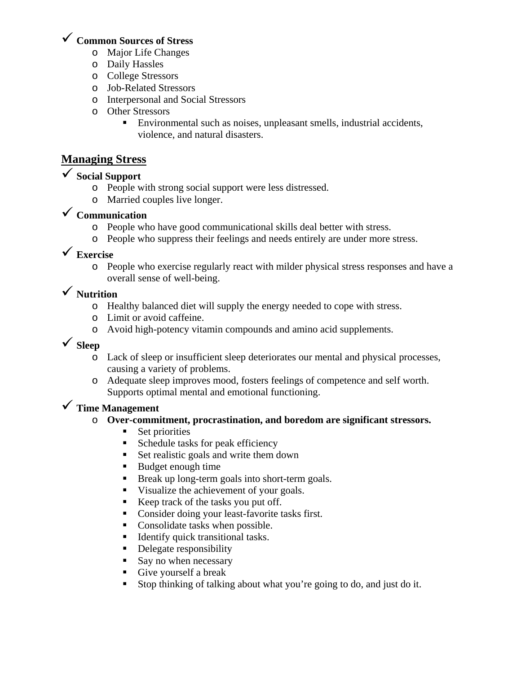## **Common Sources of Stress**

- o Major Life Changes
- o Daily Hassles
- o College Stressors
- o Job-Related Stressors
- o Interpersonal and Social Stressors
- o Other Stressors
	- Environmental such as noises, unpleasant smells, industrial accidents, violence, and natural disasters.

## **Managing Stress**

## **Social Support**

- o People with strong social support were less distressed.
- o Married couples live longer.

# **Communication**

- o People who have good communicational skills deal better with stress.
- o People who suppress their feelings and needs entirely are under more stress.

# **Exercise**

o People who exercise regularly react with milder physical stress responses and have a overall sense of well-being.

## **Nutrition**

- o Healthy balanced diet will supply the energy needed to cope with stress.
- o Limit or avoid caffeine.
- o Avoid high-potency vitamin compounds and amino acid supplements.

# **Sleep**

- o Lack of sleep or insufficient sleep deteriorates our mental and physical processes, causing a variety of problems.
- o Adequate sleep improves mood, fosters feelings of competence and self worth. Supports optimal mental and emotional functioning.

# **Time Management**

### o **Over-commitment, procrastination, and boredom are significant stressors.**

- Set priorities
- Schedule tasks for peak efficiency
- Set realistic goals and write them down
- Budget enough time
- **Break up long-term goals into short-term goals.**
- visualize the achievement of your goals.
- Keep track of the tasks you put off.
- Consider doing your least-favorite tasks first.
- Consolidate tasks when possible.
- Identify quick transitional tasks.
- Delegate responsibility
- Say no when necessary
- Give yourself a break
- Stop thinking of talking about what you're going to do, and just do it.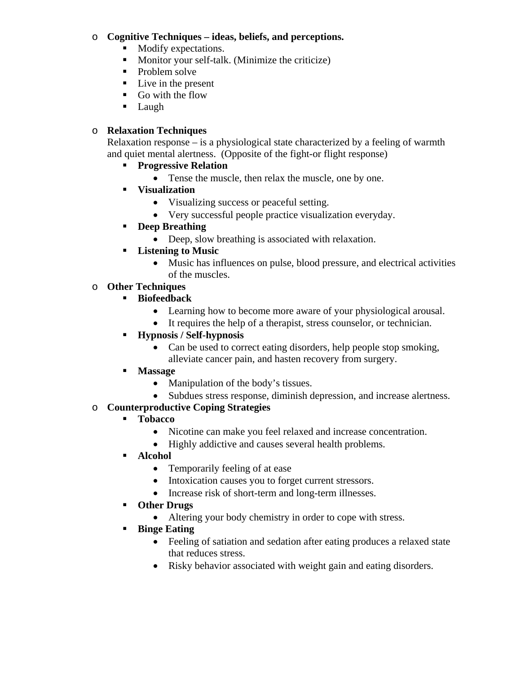#### o **Cognitive Techniques – ideas, beliefs, and perceptions.**

- Modify expectations.
- **Monitor your self-talk.** (Minimize the criticize)
- Problem solve
- $\blacksquare$  Live in the present
- Go with the flow
- **Laugh**

### o **Relaxation Techniques**

Relaxation response  $-\dot{i}$  a physiological state characterized by a feeling of warmth and quiet mental alertness. (Opposite of the fight-or flight response)

- **Progressive Relation** 
	- Tense the muscle, then relax the muscle, one by one.
- **Visualization** 
	- Visualizing success or peaceful setting.
	- Very successful people practice visualization everyday.
- **Deep Breathing** 
	- Deep, slow breathing is associated with relaxation.
- **Listening to Music** 
	- Music has influences on pulse, blood pressure, and electrical activities of the muscles.
- o **Other Techniques** 
	- **Biofeedback** 
		- Learning how to become more aware of your physiological arousal.
		- It requires the help of a therapist, stress counselor, or technician.
	- **Hypnosis / Self-hypnosis** 
		- Can be used to correct eating disorders, help people stop smoking, alleviate cancer pain, and hasten recovery from surgery.
	- **Massage** 
		- Manipulation of the body's tissues.
		- Subdues stress response, diminish depression, and increase alertness.

### o **Counterproductive Coping Strategies**

### **Tobacco**

- Nicotine can make you feel relaxed and increase concentration.
- Highly addictive and causes several health problems.
- **Alcohol** 
	- Temporarily feeling of at ease
	- Intoxication causes you to forget current stressors.
	- Increase risk of short-term and long-term illnesses.
- **Other Drugs** 
	- Altering your body chemistry in order to cope with stress.

### **Binge Eating**

- Feeling of satiation and sedation after eating produces a relaxed state that reduces stress.
- Risky behavior associated with weight gain and eating disorders.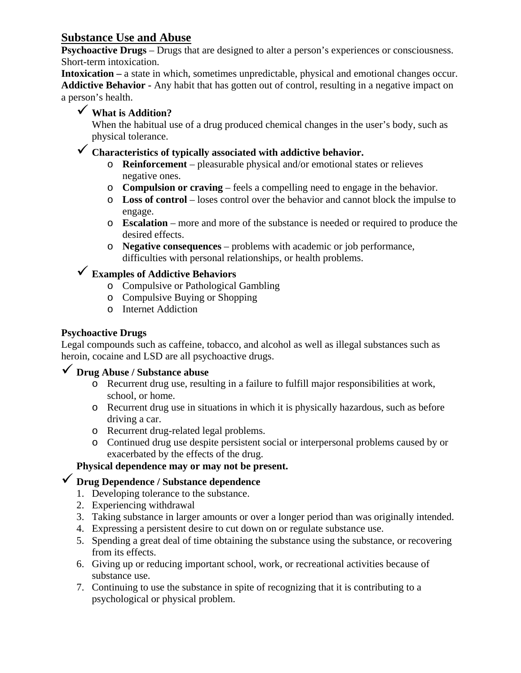## **Substance Use and Abuse**

**Psychoactive Drugs** – Drugs that are designed to alter a person's experiences or consciousness. Short-term intoxication.

**Intoxication –** a state in which, sometimes unpredictable, physical and emotional changes occur. **Addictive Behavior -** Any habit that has gotten out of control, resulting in a negative impact on a person's health.

# **What is Addition?**

When the habitual use of a drug produced chemical changes in the user's body, such as physical tolerance.

## **Characteristics of typically associated with addictive behavior.**

- o **Reinforcement** pleasurable physical and/or emotional states or relieves negative ones.
- o **Compulsion or craving** feels a compelling need to engage in the behavior.
- o **Loss of control** loses control over the behavior and cannot block the impulse to engage.
- o **Escalation** more and more of the substance is needed or required to produce the desired effects.
- o **Negative consequences** problems with academic or job performance, difficulties with personal relationships, or health problems.

# **Examples of Addictive Behaviors**

- o Compulsive or Pathological Gambling
- o Compulsive Buying or Shopping
- o Internet Addiction

### **Psychoactive Drugs**

Legal compounds such as caffeine, tobacco, and alcohol as well as illegal substances such as heroin, cocaine and LSD are all psychoactive drugs.

## **Drug Abuse / Substance abuse**

- o Recurrent drug use, resulting in a failure to fulfill major responsibilities at work, school, or home.
- o Recurrent drug use in situations in which it is physically hazardous, such as before driving a car.
- o Recurrent drug-related legal problems.
- o Continued drug use despite persistent social or interpersonal problems caused by or exacerbated by the effects of the drug.

### **Physical dependence may or may not be present.**

## **Drug Dependence / Substance dependence**

- 1. Developing tolerance to the substance.
- 2. Experiencing withdrawal
- 3. Taking substance in larger amounts or over a longer period than was originally intended.
- 4. Expressing a persistent desire to cut down on or regulate substance use.
- 5. Spending a great deal of time obtaining the substance using the substance, or recovering from its effects.
- 6. Giving up or reducing important school, work, or recreational activities because of substance use.
- 7. Continuing to use the substance in spite of recognizing that it is contributing to a psychological or physical problem.